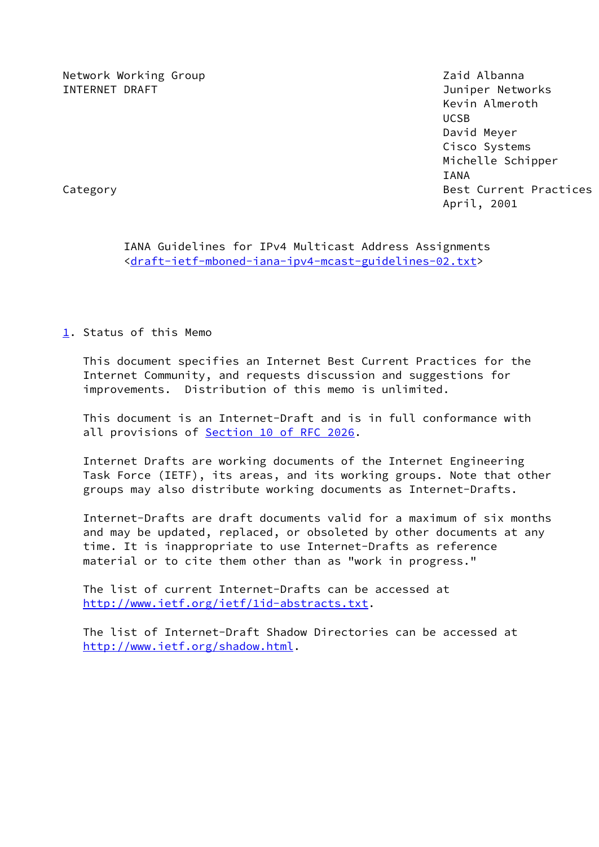Network Working Group **Network Working Albanna** INTERNET DRAFT Juniper Networks

 Kevin Almeroth UCSB David Meyer Cisco Systems Michelle Schipper IANA Category **Best Current Practices** April, 2001

 IANA Guidelines for IPv4 Multicast Address Assignments <[draft-ietf-mboned-iana-ipv4-mcast-guidelines-02.txt](https://datatracker.ietf.org/doc/pdf/draft-ietf-mboned-iana-ipv4-mcast-guidelines-02.txt)>

<span id="page-0-0"></span>[1](#page-0-0). Status of this Memo

 This document specifies an Internet Best Current Practices for the Internet Community, and requests discussion and suggestions for improvements. Distribution of this memo is unlimited.

 This document is an Internet-Draft and is in full conformance with all provisions of **Section [10 of RFC 2026](https://datatracker.ietf.org/doc/pdf/rfc2026#section-10).** 

 Internet Drafts are working documents of the Internet Engineering Task Force (IETF), its areas, and its working groups. Note that other groups may also distribute working documents as Internet-Drafts.

 Internet-Drafts are draft documents valid for a maximum of six months and may be updated, replaced, or obsoleted by other documents at any time. It is inappropriate to use Internet-Drafts as reference material or to cite them other than as "work in progress."

 The list of current Internet-Drafts can be accessed at <http://www.ietf.org/ietf/1id-abstracts.txt>.

 The list of Internet-Draft Shadow Directories can be accessed at <http://www.ietf.org/shadow.html>.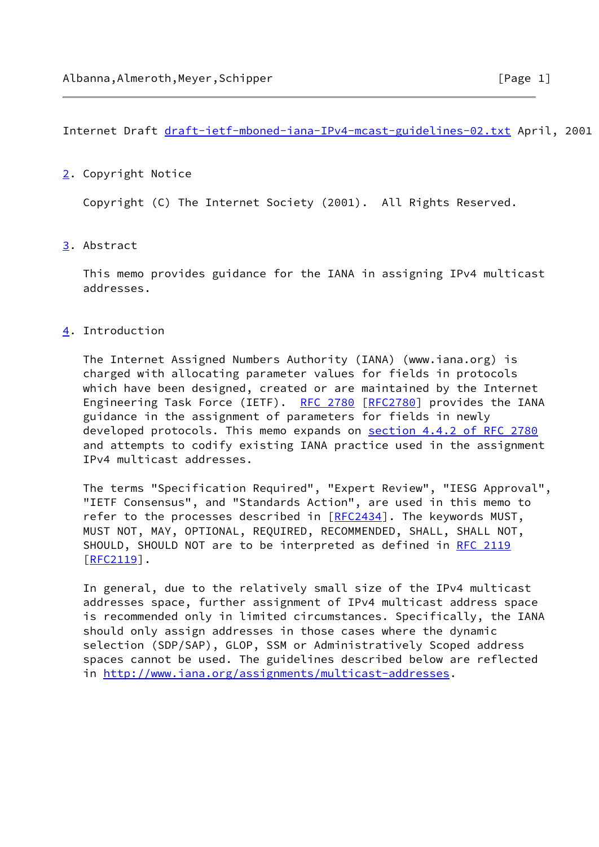Internet Draft [draft-ietf-mboned-iana-IPv4-mcast-guidelines-02.txt](https://datatracker.ietf.org/doc/pdf/draft-ietf-mboned-iana-IPv4-mcast-guidelines-02.txt) April, 2001

# <span id="page-1-0"></span>[2](#page-1-0). Copyright Notice

Copyright (C) The Internet Society (2001). All Rights Reserved.

# <span id="page-1-1"></span>[3](#page-1-1). Abstract

 This memo provides guidance for the IANA in assigning IPv4 multicast addresses.

# <span id="page-1-2"></span>[4](#page-1-2). Introduction

 The Internet Assigned Numbers Authority (IANA) (www.iana.org) is charged with allocating parameter values for fields in protocols which have been designed, created or are maintained by the Internet Engineering Task Force (IETF). [RFC 2780](https://datatracker.ietf.org/doc/pdf/rfc2780) [\[RFC2780](https://datatracker.ietf.org/doc/pdf/rfc2780)] provides the IANA guidance in the assignment of parameters for fields in newly developed protocols. This memo expands on section [4.4.2 of RFC 2780](https://datatracker.ietf.org/doc/pdf/rfc2780#section-4.4.2) and attempts to codify existing IANA practice used in the assignment IPv4 multicast addresses.

 The terms "Specification Required", "Expert Review", "IESG Approval", "IETF Consensus", and "Standards Action", are used in this memo to refer to the processes described in [\[RFC2434](https://datatracker.ietf.org/doc/pdf/rfc2434)]. The keywords MUST, MUST NOT, MAY, OPTIONAL, REQUIRED, RECOMMENDED, SHALL, SHALL NOT, SHOULD, SHOULD NOT are to be interpreted as defined in [RFC 2119](https://datatracker.ietf.org/doc/pdf/rfc2119) [\[RFC2119](https://datatracker.ietf.org/doc/pdf/rfc2119)].

 In general, due to the relatively small size of the IPv4 multicast addresses space, further assignment of IPv4 multicast address space is recommended only in limited circumstances. Specifically, the IANA should only assign addresses in those cases where the dynamic selection (SDP/SAP), GLOP, SSM or Administratively Scoped address spaces cannot be used. The guidelines described below are reflected in <http://www.iana.org/assignments/multicast-addresses>.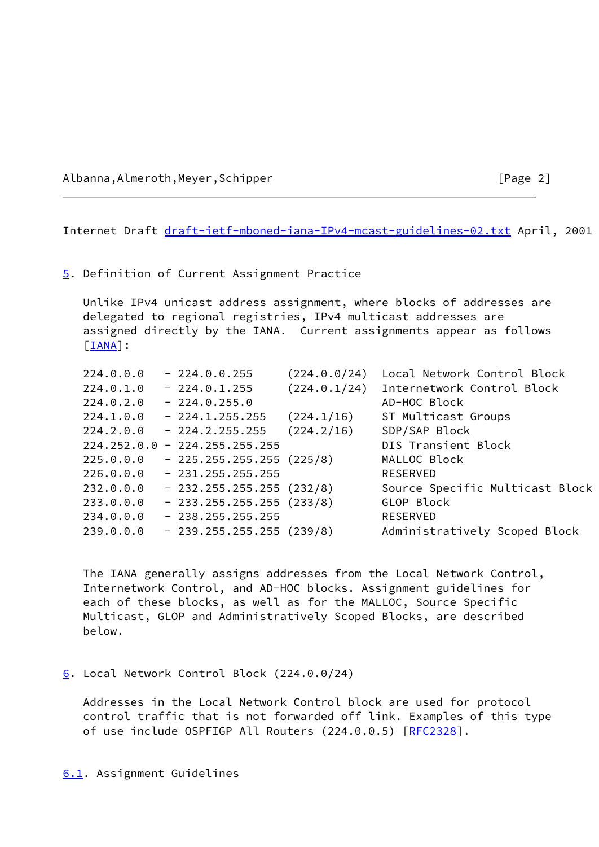Albanna,Almeroth,Meyer,Schipper [Page 2]

Internet Draft [draft-ietf-mboned-iana-IPv4-mcast-guidelines-02.txt](https://datatracker.ietf.org/doc/pdf/draft-ietf-mboned-iana-IPv4-mcast-guidelines-02.txt) April, 2001

### <span id="page-2-0"></span>[5](#page-2-0). Definition of Current Assignment Practice

 Unlike IPv4 unicast address assignment, where blocks of addresses are delegated to regional registries, IPv4 multicast addresses are assigned directly by the IANA. Current assignments appear as follows [\[IANA](#page-8-0)]:

| 224.0.0.0 | $-224.0.0.255$                  | (224.0.0/24) | Local Network Control Block     |
|-----------|---------------------------------|--------------|---------------------------------|
| 224.0.1.0 | $-224.0.1.255$                  | (224.0.1/24) | Internetwork Control Block      |
| 224.0.2.0 | $-224.0.255.0$                  |              | AD-HOC Block                    |
| 224.1.0.0 | $-224.1.255.255$                | (224.1/16)   | ST Multicast Groups             |
| 224.2.0.0 | $-224.2.255.255$                | (224.2/16)   | SDP/SAP Block                   |
|           | $224.252.0.0 - 224.255.255.255$ |              | DIS Transient Block             |
| 225.0.0.0 | $-225.255.255.255(225/8)$       |              | MALLOC Block                    |
| 226.0.0.0 | $-231.255.255.255$              |              | <b>RESERVED</b>                 |
| 232.0.0.0 | $-232.255.255.255(232/8)$       |              | Source Specific Multicast Block |
| 233.0.0.0 | $-233.255.255.255(233/8)$       |              | GLOP Block                      |
| 234.0.0.0 | $-238.255.255.255$              |              | <b>RESERVED</b>                 |
| 239.0.0.0 | $-239.255.255.255(239/8)$       |              | Administratively Scoped Block   |
|           |                                 |              |                                 |

 The IANA generally assigns addresses from the Local Network Control, Internetwork Control, and AD-HOC blocks. Assignment guidelines for each of these blocks, as well as for the MALLOC, Source Specific Multicast, GLOP and Administratively Scoped Blocks, are described below.

### <span id="page-2-1"></span>[6](#page-2-1). Local Network Control Block (224.0.0/24)

<span id="page-2-2"></span> Addresses in the Local Network Control block are used for protocol control traffic that is not forwarded off link. Examples of this type of use include OSPFIGP All Routers (224.0.0.5) [\[RFC2328](https://datatracker.ietf.org/doc/pdf/rfc2328)].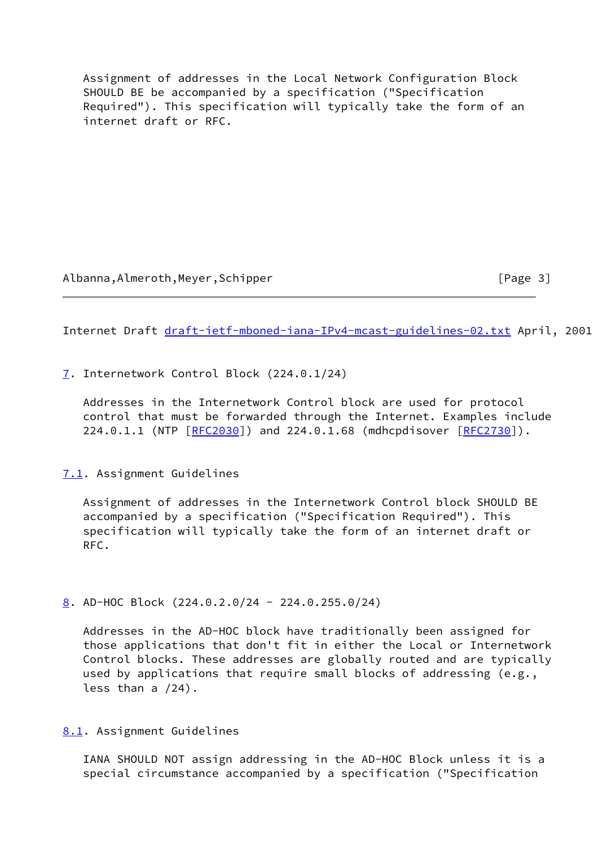Assignment of addresses in the Local Network Configuration Block SHOULD BE be accompanied by a specification ("Specification Required"). This specification will typically take the form of an internet draft or RFC.

Albanna,Almeroth,Meyer,Schipper [Page 3]

Internet Draft [draft-ietf-mboned-iana-IPv4-mcast-guidelines-02.txt](https://datatracker.ietf.org/doc/pdf/draft-ietf-mboned-iana-IPv4-mcast-guidelines-02.txt) April, 2001

<span id="page-3-0"></span>[7](#page-3-0). Internetwork Control Block (224.0.1/24)

 Addresses in the Internetwork Control block are used for protocol control that must be forwarded through the Internet. Examples include 224.0.1.1 (NTP [\[RFC2030](https://datatracker.ietf.org/doc/pdf/rfc2030)]) and 224.0.1.68 (mdhcpdisover [\[RFC2730](https://datatracker.ietf.org/doc/pdf/rfc2730)]).

# <span id="page-3-1"></span>[7.1](#page-3-1). Assignment Guidelines

 Assignment of addresses in the Internetwork Control block SHOULD BE accompanied by a specification ("Specification Required"). This specification will typically take the form of an internet draft or RFC.

<span id="page-3-2"></span>[8](#page-3-2). AD-HOC Block (224.0.2.0/24 - 224.0.255.0/24)

 Addresses in the AD-HOC block have traditionally been assigned for those applications that don't fit in either the Local or Internetwork Control blocks. These addresses are globally routed and are typically used by applications that require small blocks of addressing (e.g., less than a /24).

<span id="page-3-3"></span>[8.1](#page-3-3). Assignment Guidelines

 IANA SHOULD NOT assign addressing in the AD-HOC Block unless it is a special circumstance accompanied by a specification ("Specification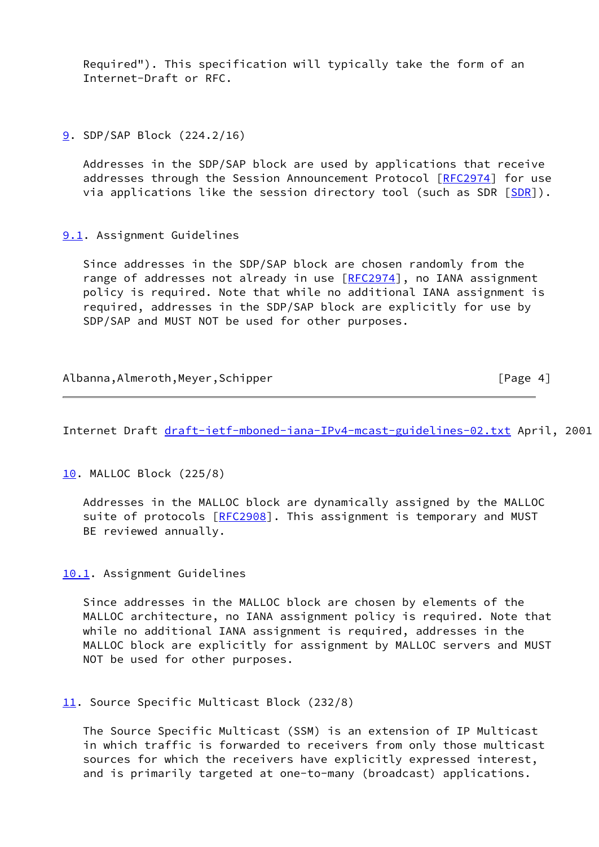Required"). This specification will typically take the form of an Internet-Draft or RFC.

<span id="page-4-0"></span>[9](#page-4-0). SDP/SAP Block (224.2/16)

 Addresses in the SDP/SAP block are used by applications that receive addresses through the Session Announcement Protocol [\[RFC2974](https://datatracker.ietf.org/doc/pdf/rfc2974)] for use via applications like the session directory tool (such as [SDR](#page-8-1) [SDR]).

<span id="page-4-1"></span>[9.1](#page-4-1). Assignment Guidelines

 Since addresses in the SDP/SAP block are chosen randomly from the range of addresses not already in use [[RFC2974](https://datatracker.ietf.org/doc/pdf/rfc2974)], no IANA assignment policy is required. Note that while no additional IANA assignment is required, addresses in the SDP/SAP block are explicitly for use by SDP/SAP and MUST NOT be used for other purposes.

| Albanna, Almeroth, Meyer, Schipper | [Page 4] |
|------------------------------------|----------|
|                                    |          |

Internet Draft [draft-ietf-mboned-iana-IPv4-mcast-guidelines-02.txt](https://datatracker.ietf.org/doc/pdf/draft-ietf-mboned-iana-IPv4-mcast-guidelines-02.txt) April, 2001

<span id="page-4-2"></span>[10.](#page-4-2) MALLOC Block (225/8)

 Addresses in the MALLOC block are dynamically assigned by the MALLOC suite of protocols [[RFC2908\]](https://datatracker.ietf.org/doc/pdf/rfc2908). This assignment is temporary and MUST BE reviewed annually.

<span id="page-4-3"></span>[10.1](#page-4-3). Assignment Guidelines

 Since addresses in the MALLOC block are chosen by elements of the MALLOC architecture, no IANA assignment policy is required. Note that while no additional IANA assignment is required, addresses in the MALLOC block are explicitly for assignment by MALLOC servers and MUST NOT be used for other purposes.

<span id="page-4-4"></span>[11.](#page-4-4) Source Specific Multicast Block (232/8)

 The Source Specific Multicast (SSM) is an extension of IP Multicast in which traffic is forwarded to receivers from only those multicast sources for which the receivers have explicitly expressed interest, and is primarily targeted at one-to-many (broadcast) applications.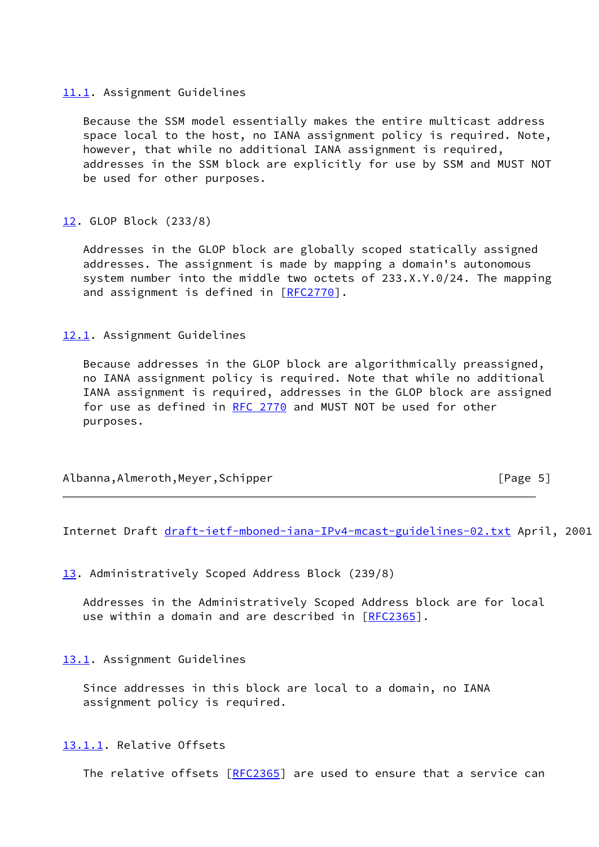## <span id="page-5-0"></span>[11.1](#page-5-0). Assignment Guidelines

 Because the SSM model essentially makes the entire multicast address space local to the host, no IANA assignment policy is required. Note, however, that while no additional IANA assignment is required, addresses in the SSM block are explicitly for use by SSM and MUST NOT be used for other purposes.

# <span id="page-5-1"></span>[12.](#page-5-1) GLOP Block (233/8)

 Addresses in the GLOP block are globally scoped statically assigned addresses. The assignment is made by mapping a domain's autonomous system number into the middle two octets of 233.X.Y.0/24. The mapping and assignment is defined in [\[RFC2770](https://datatracker.ietf.org/doc/pdf/rfc2770)].

# <span id="page-5-2"></span>[12.1](#page-5-2). Assignment Guidelines

 Because addresses in the GLOP block are algorithmically preassigned, no IANA assignment policy is required. Note that while no additional IANA assignment is required, addresses in the GLOP block are assigned for use as defined in [RFC 2770](https://datatracker.ietf.org/doc/pdf/rfc2770) and MUST NOT be used for other purposes.

| Albanna, Almeroth, Meyer, Schipper | [Page 5] |
|------------------------------------|----------|
|                                    |          |

Internet Draft [draft-ietf-mboned-iana-IPv4-mcast-guidelines-02.txt](https://datatracker.ietf.org/doc/pdf/draft-ietf-mboned-iana-IPv4-mcast-guidelines-02.txt) April, 2001

<span id="page-5-3"></span>[13.](#page-5-3) Administratively Scoped Address Block (239/8)

 Addresses in the Administratively Scoped Address block are for local use within a domain and are described in [\[RFC2365](https://datatracker.ietf.org/doc/pdf/rfc2365)].

# <span id="page-5-4"></span>[13.1](#page-5-4). Assignment Guidelines

Since addresses in this block are local to a domain, no IANA assignment policy is required.

<span id="page-5-5"></span>[13.1.1](#page-5-5). Relative Offsets

The relative offsets [\[RFC2365](https://datatracker.ietf.org/doc/pdf/rfc2365)] are used to ensure that a service can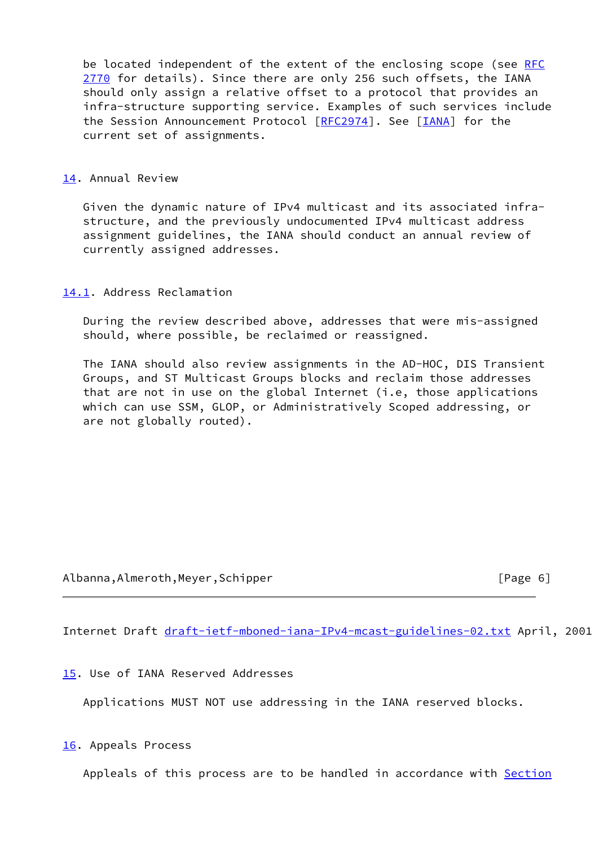be located independent of the extent of the enclosing scope (see [RFC](https://datatracker.ietf.org/doc/pdf/rfc2770) [2770](https://datatracker.ietf.org/doc/pdf/rfc2770) for details). Since there are only 256 such offsets, the IANA should only assign a relative offset to a protocol that provides an infra-structure supporting service. Examples of such services include the Session Announcement Protocol [[RFC2974](https://datatracker.ietf.org/doc/pdf/rfc2974)]. See [\[IANA](#page-8-0)] for the current set of assignments.

<span id="page-6-0"></span>[14.](#page-6-0) Annual Review

 Given the dynamic nature of IPv4 multicast and its associated infra structure, and the previously undocumented IPv4 multicast address assignment guidelines, the IANA should conduct an annual review of currently assigned addresses.

<span id="page-6-1"></span>[14.1](#page-6-1). Address Reclamation

 During the review described above, addresses that were mis-assigned should, where possible, be reclaimed or reassigned.

 The IANA should also review assignments in the AD-HOC, DIS Transient Groups, and ST Multicast Groups blocks and reclaim those addresses that are not in use on the global Internet (i.e, those applications which can use SSM, GLOP, or Administratively Scoped addressing, or are not globally routed).

Albanna,Almeroth,Meyer,Schipper [Page 6]

Internet Draft [draft-ietf-mboned-iana-IPv4-mcast-guidelines-02.txt](https://datatracker.ietf.org/doc/pdf/draft-ietf-mboned-iana-IPv4-mcast-guidelines-02.txt) April, 2001

<span id="page-6-2"></span>[15.](#page-6-2) Use of IANA Reserved Addresses

Applications MUST NOT use addressing in the IANA reserved blocks.

<span id="page-6-3"></span>[16.](#page-6-3) Appeals Process

Appleals of this process are to be handled in accordance with [Section](https://datatracker.ietf.org/doc/pdf/rfc2026#section-6.5)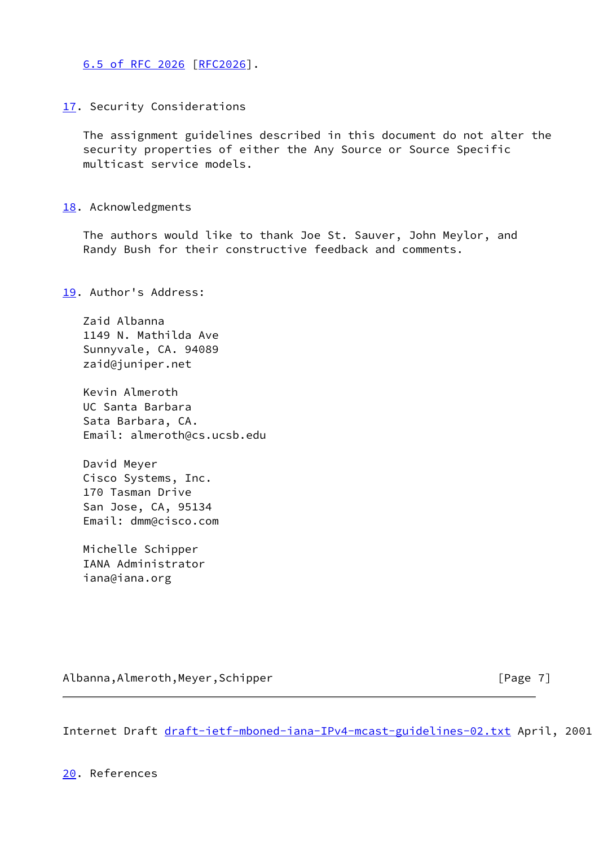[6.5 of RFC 2026](https://datatracker.ietf.org/doc/pdf/rfc2026#section-6.5) [\[RFC2026](https://datatracker.ietf.org/doc/pdf/rfc2026)].

<span id="page-7-0"></span>[17.](#page-7-0) Security Considerations

 The assignment guidelines described in this document do not alter the security properties of either the Any Source or Source Specific multicast service models.

<span id="page-7-1"></span>[18.](#page-7-1) Acknowledgments

 The authors would like to thank Joe St. Sauver, John Meylor, and Randy Bush for their constructive feedback and comments.

<span id="page-7-2"></span>[19.](#page-7-2) Author's Address:

 Zaid Albanna 1149 N. Mathilda Ave Sunnyvale, CA. 94089 zaid@juniper.net

 Kevin Almeroth UC Santa Barbara Sata Barbara, CA. Email: almeroth@cs.ucsb.edu

 David Meyer Cisco Systems, Inc. 170 Tasman Drive San Jose, CA, 95134 Email: dmm@cisco.com

 Michelle Schipper IANA Administrator iana@iana.org

Albanna,Almeroth,Meyer,Schipper [Page 7]

Internet Draft [draft-ietf-mboned-iana-IPv4-mcast-guidelines-02.txt](https://datatracker.ietf.org/doc/pdf/draft-ietf-mboned-iana-IPv4-mcast-guidelines-02.txt) April, 2001

<span id="page-7-3"></span>[20.](#page-7-3) References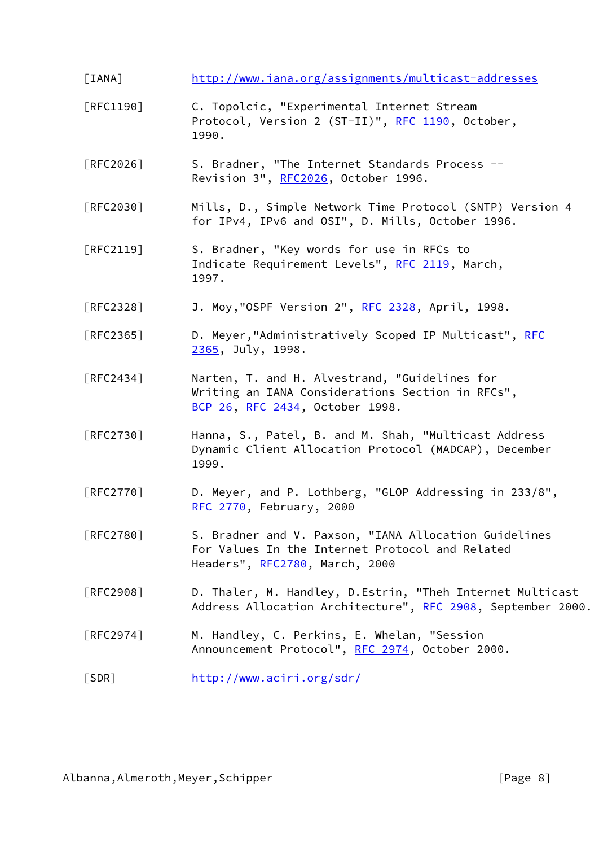- <span id="page-8-0"></span>[IANA] <http://www.iana.org/assignments/multicast-addresses>
- [RFC1190] C. Topolcic, "Experimental Internet Stream Protocol, Version 2 (ST-II)", [RFC 1190](https://datatracker.ietf.org/doc/pdf/rfc1190), October, 1990.
- [RFC2026] S. Bradner, "The Internet Standards Process -- Revision 3", [RFC2026](https://datatracker.ietf.org/doc/pdf/rfc2026), October 1996.
- [RFC2030] Mills, D., Simple Network Time Protocol (SNTP) Version 4 for IPv4, IPv6 and OSI", D. Mills, October 1996.
- [RFC2119] S. Bradner, "Key words for use in RFCs to Indicate Requirement Levels", [RFC 2119](https://datatracker.ietf.org/doc/pdf/rfc2119), March, 1997.
- [RFC2328] J. Moy,"OSPF Version 2", [RFC 2328](https://datatracker.ietf.org/doc/pdf/rfc2328), April, 1998.
- [RFC2365] D. Meyer, "Administratively Scoped IP Multicast", [RFC](https://datatracker.ietf.org/doc/pdf/rfc2365) [2365](https://datatracker.ietf.org/doc/pdf/rfc2365), July, 1998.
- [RFC2434] Narten, T. and H. Alvestrand, "Guidelines for Writing an IANA Considerations Section in RFCs", [BCP 26](https://datatracker.ietf.org/doc/pdf/bcp26), [RFC 2434](https://datatracker.ietf.org/doc/pdf/rfc2434), October 1998.
- [RFC2730] Hanna, S., Patel, B. and M. Shah, "Multicast Address Dynamic Client Allocation Protocol (MADCAP), December 1999.
- [RFC2770] D. Meyer, and P. Lothberg, "GLOP Addressing in 233/8", [RFC 2770](https://datatracker.ietf.org/doc/pdf/rfc2770), February, 2000
- [RFC2780] S. Bradner and V. Paxson, "IANA Allocation Guidelines For Values In the Internet Protocol and Related Headers", [RFC2780](https://datatracker.ietf.org/doc/pdf/rfc2780), March, 2000
- [RFC2908] D. Thaler, M. Handley, D.Estrin, "Theh Internet Multicast Address Allocation Architecture", [RFC 2908](https://datatracker.ietf.org/doc/pdf/rfc2908), September 2000.
- [RFC2974] M. Handley, C. Perkins, E. Whelan, "Session Announcement Protocol", [RFC 2974](https://datatracker.ietf.org/doc/pdf/rfc2974), October 2000.
- <span id="page-8-1"></span>[SDR] <http://www.aciri.org/sdr/>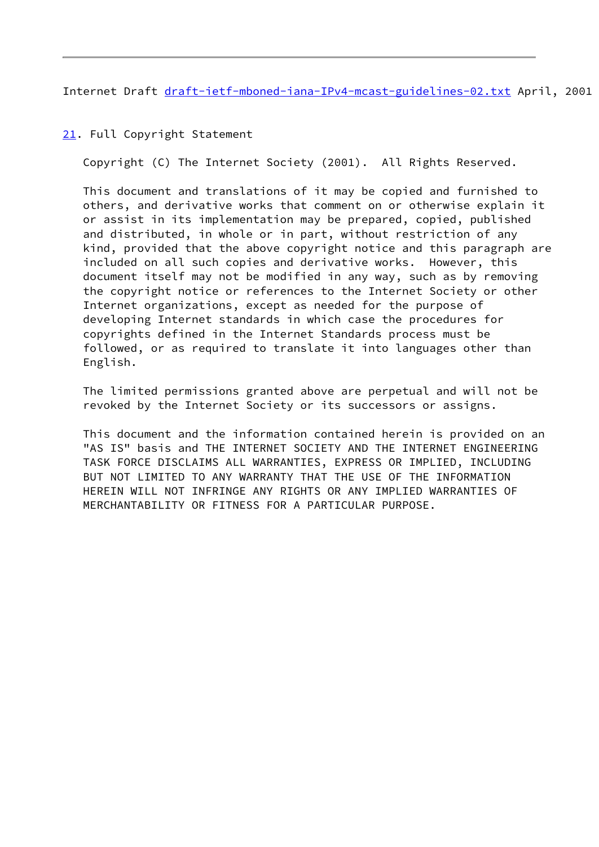Internet Draft [draft-ietf-mboned-iana-IPv4-mcast-guidelines-02.txt](https://datatracker.ietf.org/doc/pdf/draft-ietf-mboned-iana-IPv4-mcast-guidelines-02.txt) April, 2001

<span id="page-9-0"></span>[21.](#page-9-0) Full Copyright Statement

Copyright (C) The Internet Society (2001). All Rights Reserved.

 This document and translations of it may be copied and furnished to others, and derivative works that comment on or otherwise explain it or assist in its implementation may be prepared, copied, published and distributed, in whole or in part, without restriction of any kind, provided that the above copyright notice and this paragraph are included on all such copies and derivative works. However, this document itself may not be modified in any way, such as by removing the copyright notice or references to the Internet Society or other Internet organizations, except as needed for the purpose of developing Internet standards in which case the procedures for copyrights defined in the Internet Standards process must be followed, or as required to translate it into languages other than English.

 The limited permissions granted above are perpetual and will not be revoked by the Internet Society or its successors or assigns.

 This document and the information contained herein is provided on an "AS IS" basis and THE INTERNET SOCIETY AND THE INTERNET ENGINEERING TASK FORCE DISCLAIMS ALL WARRANTIES, EXPRESS OR IMPLIED, INCLUDING BUT NOT LIMITED TO ANY WARRANTY THAT THE USE OF THE INFORMATION HEREIN WILL NOT INFRINGE ANY RIGHTS OR ANY IMPLIED WARRANTIES OF MERCHANTABILITY OR FITNESS FOR A PARTICULAR PURPOSE.